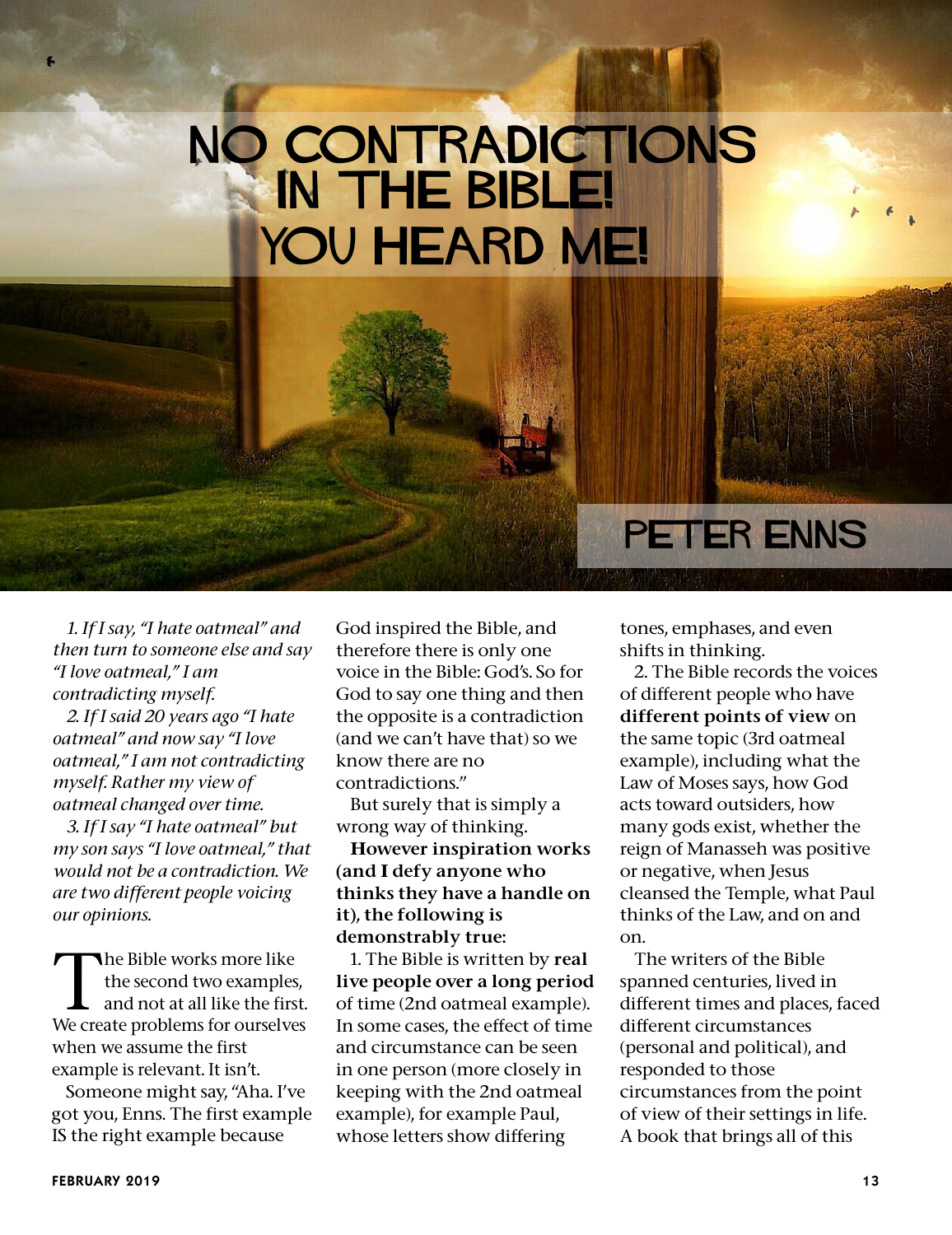## **No Contradictions in the Bible! You heard me!**

*1. If I say, "I hate oatmeal" and then turn to someone else and say "I love oatmeal," I am contradicting myself.*

*2. If I said 20 years ago "I hate oatmeal" and now say "I love oatmeal," I am not contradicting myself. Rather my view of oatmeal changed over time.*

*3. If I say "I hate oatmeal" but my son says "I love oatmeal," that would not be a contradiction. We are two different people voicing our opinions.*

The Bible works more like<br>the second two examples,<br>and not at all like the first. the second two examples, We create problems for ourselves when we assume the first example is relevant. It isn't.

Someone might say, "Aha. I've got you, Enns. The first example IS the right example because

God inspired the Bible, and therefore there is only one voice in the Bible: God's. So for God to say one thing and then the opposite is a contradiction (and we can't have that) so we know there are no contradictions."

But surely that is simply a wrong way of thinking.

However inspiration works (and I defy anyone who thinks they have a handle on it), the following is demonstrably true:

1. The Bible is written by real live people over a long period of time (2nd oatmeal example). In some cases, the effect of time and circumstance can be seen in one person (more closely in keeping with the 2nd oatmeal example), for example Paul, whose letters show differing

**Peter Enns**

tones, emphases, and even shifts in thinking.

2. The Bible records the voices of different people who have different points of view on the same topic (3rd oatmeal example), including what the Law of Moses says, how God acts toward outsiders, how many gods exist, whether the reign of Manasseh was positive or negative, when Jesus cleansed the Temple, what Paul thinks of the Law, and on and on.

The writers of the Bible spanned centuries, lived in different times and places, faced different circumstances (personal and political), and responded to those circumstances from the point of view of their settings in life. A book that brings all of this